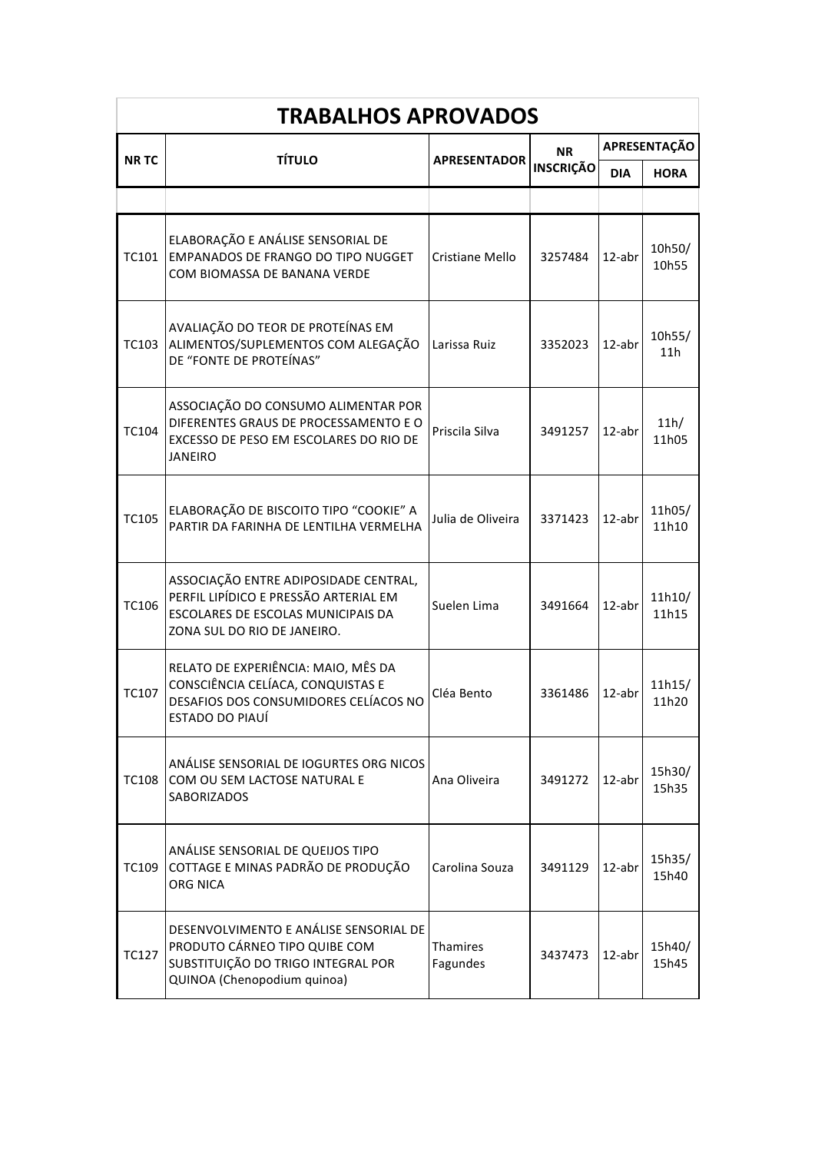| <b>TRABALHOS APROVADOS</b> |                                                                                                                                                     |                             |                               |              |                 |  |  |
|----------------------------|-----------------------------------------------------------------------------------------------------------------------------------------------------|-----------------------------|-------------------------------|--------------|-----------------|--|--|
|                            |                                                                                                                                                     |                             | <b>NR</b><br><b>INSCRIÇÃO</b> | APRESENTAÇÃO |                 |  |  |
| <b>NRTC</b>                | <b>TÍTULO</b>                                                                                                                                       | <b>APRESENTADOR</b>         |                               | <b>DIA</b>   | <b>HORA</b>     |  |  |
|                            |                                                                                                                                                     |                             |                               |              |                 |  |  |
| TC101                      | ELABORAÇÃO E ANÁLISE SENSORIAL DE<br>EMPANADOS DE FRANGO DO TIPO NUGGET<br>COM BIOMASSA DE BANANA VERDE                                             | Cristiane Mello             | 3257484                       | 12-abr       | 10h50/<br>10h55 |  |  |
| TC103                      | AVALIAÇÃO DO TEOR DE PROTEÍNAS EM<br>ALIMENTOS/SUPLEMENTOS COM ALEGAÇÃO<br>DE "FONTE DE PROTEÍNAS"                                                  | Larissa Ruiz                | 3352023                       | $12$ -abr    | 10h55/<br>11h   |  |  |
| TC104                      | ASSOCIAÇÃO DO CONSUMO ALIMENTAR POR<br>DIFERENTES GRAUS DE PROCESSAMENTO E O<br>EXCESSO DE PESO EM ESCOLARES DO RIO DE<br><b>JANEIRO</b>            | Priscila Silva              | 3491257                       | 12-abr       | 11h/<br>11h05   |  |  |
| <b>TC105</b>               | ELABORAÇÃO DE BISCOITO TIPO "COOKIE" A<br>PARTIR DA FARINHA DE LENTILHA VERMELHA                                                                    | Julia de Oliveira           | 3371423                       | $12$ -abr    | 11h05/<br>11h10 |  |  |
| TC106                      | ASSOCIAÇÃO ENTRE ADIPOSIDADE CENTRAL,<br>PERFIL LIPÍDICO E PRESSÃO ARTERIAL EM<br>ESCOLARES DE ESCOLAS MUNICIPAIS DA<br>ZONA SUL DO RIO DE JANEIRO. | Suelen Lima                 | 3491664                       | 12-abr       | 11h10/<br>11h15 |  |  |
| TC107                      | RELATO DE EXPERIÊNCIA: MAIO, MÊS DA<br>CONSCIÊNCIA CELÍACA, CONQUISTAS E<br>DESAFIOS DOS CONSUMIDORES CELÍACOS NO<br><b>ESTADO DO PIAUÍ</b>         | Cléa Bento                  | 3361486                       | 12-abr       | 11h15/<br>11h20 |  |  |
| <b>TC108</b>               | ANÁLISE SENSORIAL DE IOGURTES ORG NICOS<br>COM OU SEM LACTOSE NATURAL E<br>SABORIZADOS                                                              | Ana Oliveira                | 3491272                       | 12-abr       | 15h30/<br>15h35 |  |  |
| TC109                      | ANÁLISE SENSORIAL DE QUEIJOS TIPO<br>COTTAGE E MINAS PADRÃO DE PRODUÇÃO<br>ORG NICA                                                                 | Carolina Souza              | 3491129                       | $12$ -abr    | 15h35/<br>15h40 |  |  |
| <b>TC127</b>               | DESENVOLVIMENTO E ANÁLISE SENSORIAL DE<br>PRODUTO CÁRNEO TIPO QUIBE COM<br>SUBSTITUIÇÃO DO TRIGO INTEGRAL POR<br>QUINOA (Chenopodium quinoa)        | <b>Thamires</b><br>Fagundes | 3437473                       | 12-abr       | 15h40/<br>15h45 |  |  |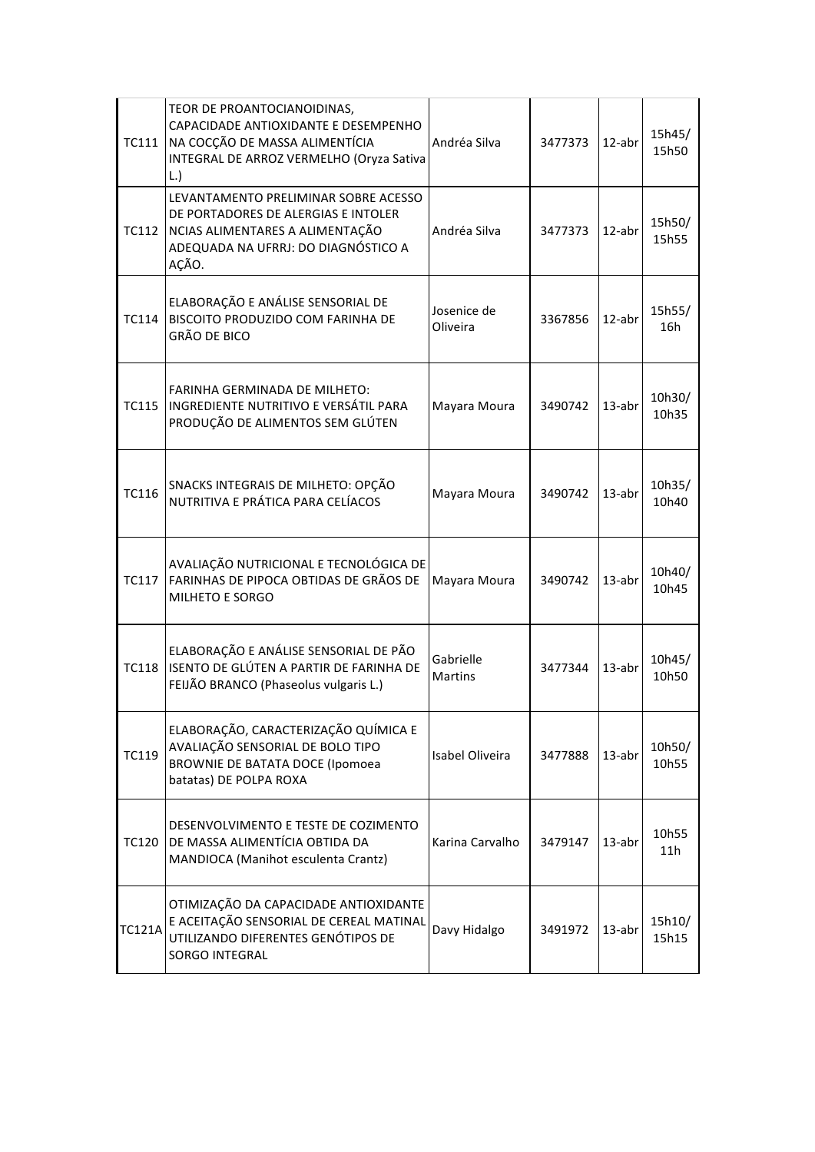| <b>TC111</b>  | TEOR DE PROANTOCIANOIDINAS,<br>CAPACIDADE ANTIOXIDANTE E DESEMPENHO<br>NA COCÇÃO DE MASSA ALIMENTÍCIA<br>INTEGRAL DE ARROZ VERMELHO (Oryza Sativa<br>L.        | Andréa Silva                | 3477373 | $12$ -abr | 15h45/<br>15h50 |
|---------------|----------------------------------------------------------------------------------------------------------------------------------------------------------------|-----------------------------|---------|-----------|-----------------|
| TC112         | LEVANTAMENTO PRELIMINAR SOBRE ACESSO<br>DE PORTADORES DE ALERGIAS E INTOLER<br>NCIAS ALIMENTARES A ALIMENTAÇÃO<br>ADEQUADA NA UFRRJ: DO DIAGNÓSTICO A<br>AÇÃO. | Andréa Silva                | 3477373 | 12-abr    | 15h50/<br>15h55 |
| <b>TC114</b>  | ELABORAÇÃO E ANÁLISE SENSORIAL DE<br>BISCOITO PRODUZIDO COM FARINHA DE<br><b>GRÃO DE BICO</b>                                                                  | Josenice de<br>Oliveira     | 3367856 | 12-abr    | 15h55/<br>16h   |
| <b>TC115</b>  | FARINHA GERMINADA DE MILHETO:<br>INGREDIENTE NUTRITIVO E VERSÁTIL PARA<br>PRODUÇÃO DE ALIMENTOS SEM GLÚTEN                                                     | Mayara Moura                | 3490742 | $13$ -abr | 10h30/<br>10h35 |
| <b>TC116</b>  | SNACKS INTEGRAIS DE MILHETO: OPÇÃO<br>NUTRITIVA E PRÁTICA PARA CELÍACOS                                                                                        | Mayara Moura                | 3490742 | $13$ -abr | 10h35/<br>10h40 |
| <b>TC117</b>  | AVALIAÇÃO NUTRICIONAL E TECNOLÓGICA DE<br>FARINHAS DE PIPOCA OBTIDAS DE GRÃOS DE<br>MILHETO E SORGO                                                            | Mayara Moura                | 3490742 | $13$ -abr | 10h40/<br>10h45 |
| <b>TC118</b>  | ELABORAÇÃO E ANÁLISE SENSORIAL DE PÃO<br>ISENTO DE GLÚTEN A PARTIR DE FARINHA DE<br>FEIJÃO BRANCO (Phaseolus vulgaris L.)                                      | Gabrielle<br><b>Martins</b> | 3477344 | $13$ -abr | 10h45/<br>10h50 |
| <b>TC119</b>  | ELABORAÇÃO, CARACTERIZAÇÃO QUÍMICA E<br>AVALIAÇÃO SENSORIAL DE BOLO TIPO<br><b>BROWNIE DE BATATA DOCE (Ipomoea</b><br>batatas) DE POLPA ROXA                   | Isabel Oliveira             | 3477888 | 13-abr    | 10h50/<br>10h55 |
| <b>TC120</b>  | DESENVOLVIMENTO E TESTE DE COZIMENTO<br>DE MASSA ALIMENTÍCIA OBTIDA DA<br>MANDIOCA (Manihot esculenta Crantz)                                                  | Karina Carvalho             | 3479147 | $13$ -abr | 10h55<br>11h    |
| <b>TC121A</b> | OTIMIZAÇÃO DA CAPACIDADE ANTIOXIDANTE<br>E ACEITAÇÃO SENSORIAL DE CEREAL MATINAL<br>UTILIZANDO DIFERENTES GENÓTIPOS DE<br><b>SORGO INTEGRAL</b>                | Davy Hidalgo                | 3491972 | 13-abr    | 15h10/<br>15h15 |